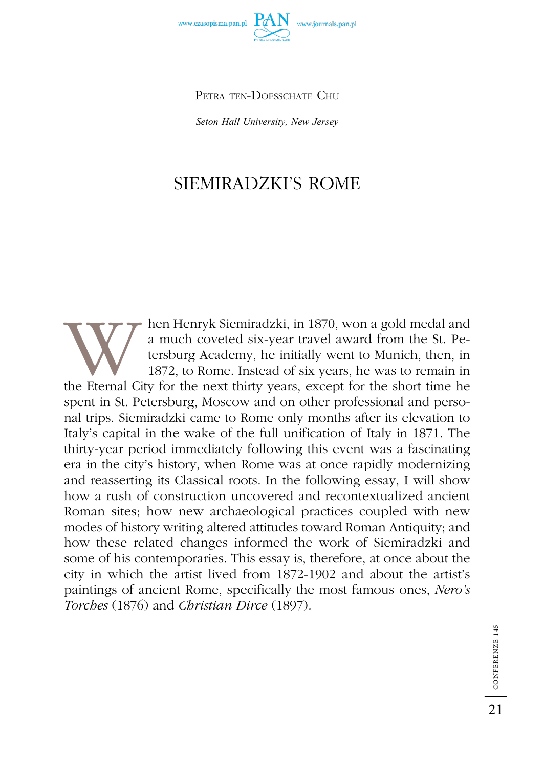*Seton Hall University, New Jersey* 

# SIEMIRADZKI'S ROME

W hen Henryk Siemiradzki, in 1870, won a gold medal and a much coveted six-year travel award from the St. Petersburg Academy, he initially went to Munich, then, in 1872, to Rome. Instead of six years, he was to remain in t a much coveted six-year travel award from the St. Petersburg Academy, he initially went to Munich, then, in 1872, to Rome. Instead of six years, he was to remain in spent in St. Petersburg, Moscow and on other professional and personal trips. Siemiradzki came to Rome only months after its elevation to Italy's capital in the wake of the full unification of Italy in 1871. The thirty-year period immediately following this event was a fascinating era in the city's history, when Rome was at once rapidly modernizing and reasserting its Classical roots. In the following essay, I will show how a rush of construction uncovered and recontextualized ancient Roman sites; how new archaeological practices coupled with new modes of history writing altered attitudes toward Roman Antiquity; and how these related changes informed the work of Siemiradzki and some of his contemporaries. This essay is, therefore, at once about the city in which the artist lived from 1872-1902 and about the artist's paintings of ancient Rome, specifically the most famous ones, *Nero's Torches* (1876) and *Christian Dirce* (1897)*.* 

21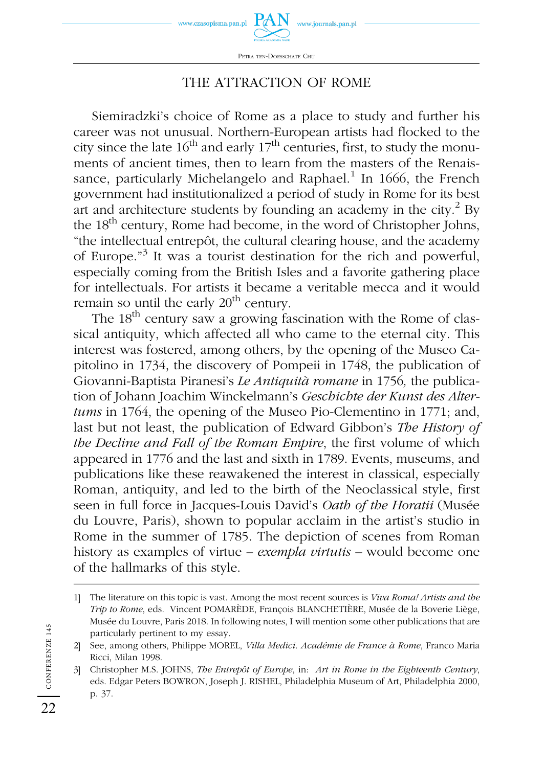



#### THE ATTRACTION OF ROME

Siemiradzki's choice of Rome as a place to study and further his career was not unusual. Northern-European artists had flocked to the city since the late  $16<sup>th</sup>$  and early  $17<sup>th</sup>$  centuries, first, to study the monuments of ancient times, then to learn from the masters of the Renaissance, particularly Michelangelo and Raphael.<sup>1</sup> In 1666, the French government had institutionalized a period of study in Rome for its best art and architecture students by founding an academy in the city. $^2$  By the 18<sup>th</sup> century, Rome had become, in the word of Christopher Johns, "the intellectual entrepôt, the cultural clearing house, and the academy of Europe."3 It was a tourist destination for the rich and powerful, especially coming from the British Isles and a favorite gathering place for intellectuals. For artists it became a veritable mecca and it would remain so until the early  $20<sup>th</sup>$  century.

The  $18<sup>th</sup>$  century saw a growing fascination with the Rome of classical antiquity, which affected all who came to the eternal city. This interest was fostered, among others, by the opening of the Museo Capitolino in 1734, the discovery of Pompeii in 1748, the publication of Giovanni-Baptista Piranesi's *Le Antiquità romane* in 1756*,* the publication of Johann Joachim Winckelmann's *Geschichte der Kunst des Altertums* in 1764, the opening of the Museo Pio-Clementino in 1771; and, last but not least, the publication of Edward Gibbon's *The History of the Decline and Fall of the Roman Empire*, the first volume of which appeared in 1776 and the last and sixth in 1789. Events, museums, and publications like these reawakened the interest in classical, especially Roman, antiquity, and led to the birth of the Neoclassical style, first seen in full force in Jacques-Louis David's *Oath of the Horatii* (Musée du Louvre, Paris), shown to popular acclaim in the artist's studio in Rome in the summer of 1785. The depiction of scenes from Roman history as examples of virtue – *exempla virtutis –* would become one of the hallmarks of this style.

<sup>1]</sup> The literature on this topic is vast. Among the most recent sources is *Viva Roma! Artists and the Trip to Rome*, eds. Vincent POMARÈDE, François BLANCHETIÈRE, Musée de la Boverie Liège, Musée du Louvre, Paris 2018. In following notes, I will mention some other publications that are particularly pertinent to my essay.

<sup>2]</sup> See, among others, Philippe MOREL, *Villa Medici. Académie de France à Rome*, Franco Maria Ricci, Milan 1998.

<sup>3]</sup> Christopher M.S. JOHNS, *The Entrepôt of Europe*, in: *Art in Rome in the Eighteenth Century*, eds. Edgar Peters BOWRON, Joseph J. RISHEL, Philadelphia Museum of Art, Philadelphia 2000, p. 37.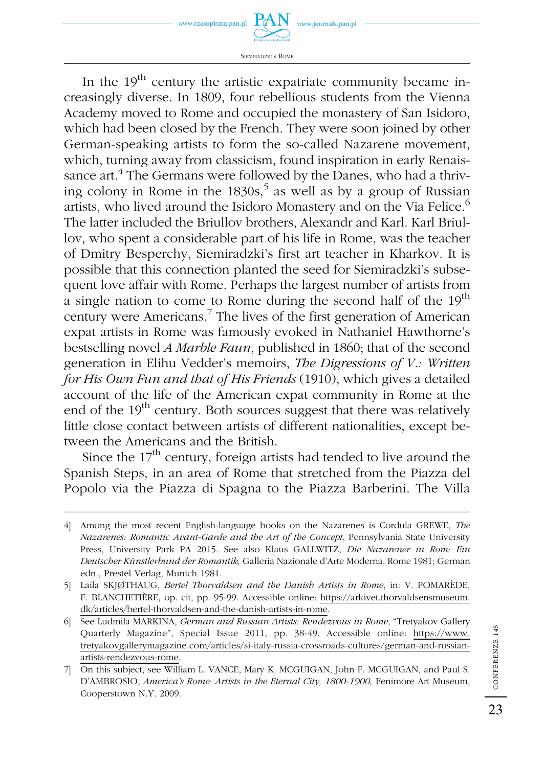www.journals.pan.pl



In the  $19<sup>th</sup>$  century the artistic expatriate community became increasingly diverse. In 1809, four rebellious students from the Vienna Academy moved to Rome and occupied the monastery of San Isidoro, which had been closed by the French. They were soon joined by other German-speaking artists to form the so-called Nazarene movement, which, turning away from classicism, found inspiration in early Renaissance art.<sup>4</sup> The Germans were followed by the Danes, who had a thriving colony in Rome in the  $1830s<sup>5</sup>$  as well as by a group of Russian artists, who lived around the Isidoro Monastery and on the Via Felice.<sup>6</sup> The latter included the Briullov brothers, Alexandr and Karl. Karl Briullov, who spent a considerable part of his life in Rome, was the teacher of Dmitry Besperchy, Siemiradzki's first art teacher in Kharkov. It is possible that this connection planted the seed for Siemiradzki's subsequent love affair with Rome. Perhaps the largest number of artists from a single nation to come to Rome during the second half of the  $19<sup>th</sup>$ century were Americans.7 The lives of the first generation of American expat artists in Rome was famously evoked in Nathaniel Hawthorne's bestselling novel *A Marble Faun*, published in 1860; that of the second generation in Elihu Vedder's memoirs, *The Digressions of V.: Written for His Own Fun and that of His Friends* (1910), which gives a detailed account of the life of the American expat community in Rome at the end of the  $19<sup>th</sup>$  century. Both sources suggest that there was relatively little close contact between artists of different nationalities, except between the Americans and the British.

Since the  $17<sup>th</sup>$  century, foreign artists had tended to live around the Spanish Steps, in an area of Rome that stretched from the Piazza del Popolo via the Piazza di Spagna to the Piazza Barberini. The Villa

<sup>4]</sup> Among the most recent English-language books on the Nazarenes is Cordula GREWE, *The Nazarenes: Romantic Avant-Garde and the Art of the Concept*, Pennsylvania State University Press, University Park PA 2015. See also Klaus GALLWITZ, *Die Nazarener in Rom: Ein Deutscher Künstlerbund der Romantik,* Galleria Nazionale d'Arte Moderna, Rome 1981; German edn., Prestel Verlag, Munich 1981.

<sup>5]</sup> Laila SKJØTHAUG, *Bertel Thorvaldsen and the Danish Artists in Rome*, in: V. POMARÈDE, F. BLANCHETIÈRE, op. cit, pp. 95-99. Accessible online: https://arkivet.thorvaldsensmuseum. dk/articles/bertel-thorvaldsen-and-the-danish-artists-in-rome.

<sup>6]</sup> See Ludmila MARKINA, *German and Russian Artists: Rendezvous in Rome*, "Tretyakov Gallery Quarterly Magazine", Special Issue 2011, pp. 38-49. Accessible online: https://www. tretyakovgallerymagazine.com/articles/si-italy-russia-crossroads-cultures/german-and-russianartists-rendezvous-rome.

<sup>7]</sup> On this subject, see William L. VANCE, Mary K. MCGUIGAN, John F. MCGUIGAN, and Paul S. D'AMBROSIO, America's Rome: Artists in the Eternal City, 1800-1900, Fenimore Art Museum, Cooperstown N.Y. 2009.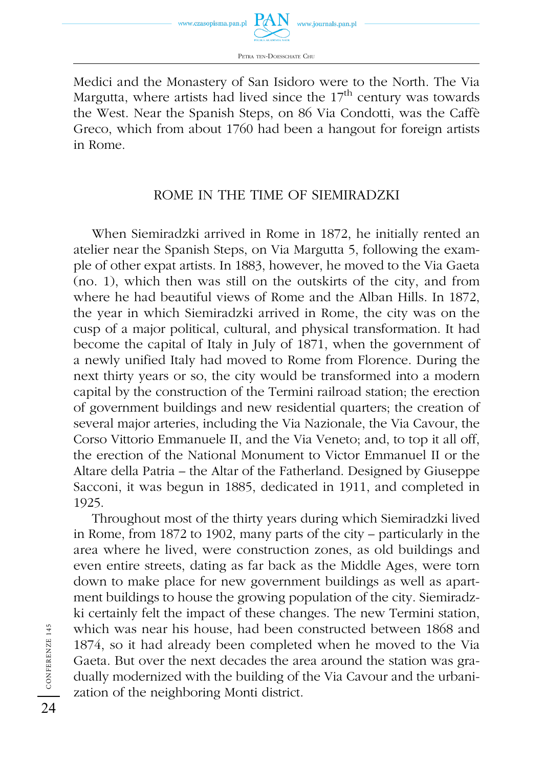

Medici and the Monastery of San Isidoro were to the North. The Via Margutta, where artists had lived since the  $17<sup>th</sup>$  century was towards the West. Near the Spanish Steps, on 86 Via Condotti, was the Caffè Greco, which from about 1760 had been a hangout for foreign artists in Rome.

### ROME IN THE TIME OF SIEMIRADZKI

When Siemiradzki arrived in Rome in 1872, he initially rented an atelier near the Spanish Steps, on Via Margutta 5, following the example of other expat artists. In 1883, however, he moved to the Via Gaeta (no. 1), which then was still on the outskirts of the city, and from where he had beautiful views of Rome and the Alban Hills. In 1872, the year in which Siemiradzki arrived in Rome, the city was on the cusp of a major political, cultural, and physical transformation. It had become the capital of Italy in July of 1871, when the government of a newly unified Italy had moved to Rome from Florence. During the next thirty years or so, the city would be transformed into a modern capital by the construction of the Termini railroad station; the erection of government buildings and new residential quarters; the creation of several major arteries, including the Via Nazionale, the Via Cavour, the Corso Vittorio Emmanuele II, and the Via Veneto; and, to top it all off, the erection of the National Monument to Victor Emmanuel II or the Altare della Patria – the Altar of the Fatherland. Designed by Giuseppe Sacconi, it was begun in 1885, dedicated in 1911, and completed in 1925.

Throughout most of the thirty years during which Siemiradzki lived in Rome, from 1872 to 1902, many parts of the city – particularly in the area where he lived, were construction zones, as old buildings and even entire streets, dating as far back as the Middle Ages, were torn down to make place for new government buildings as well as apartment buildings to house the growing population of the city. Siemiradzki certainly felt the impact of these changes. The new Termini station, which was near his house, had been constructed between 1868 and 1874, so it had already been completed when he moved to the Via Gaeta. But over the next decades the area around the station was gradually modernized with the building of the Via Cavour and the urbanization of the neighboring Monti district.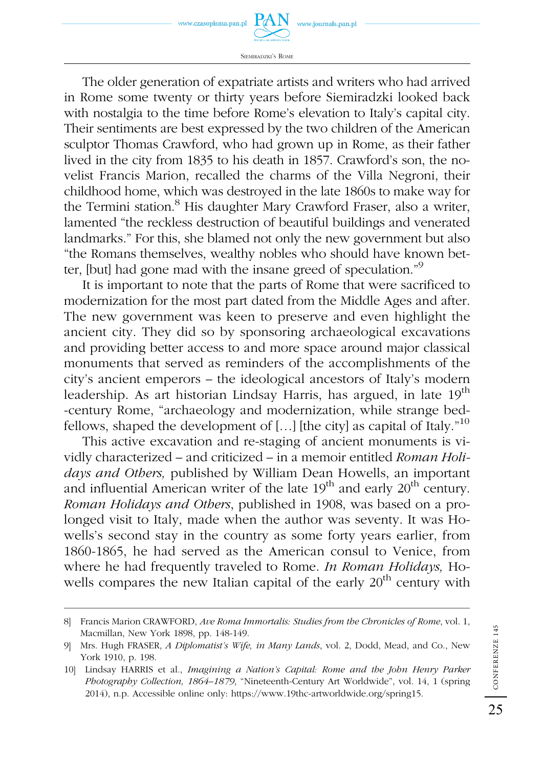

SIEMIRADZKI'S ROME

The older generation of expatriate artists and writers who had arrived in Rome some twenty or thirty years before Siemiradzki looked back with nostalgia to the time before Rome's elevation to Italy's capital city. Their sentiments are best expressed by the two children of the American sculptor Thomas Crawford, who had grown up in Rome, as their father lived in the city from 1835 to his death in 1857. Crawford's son, the novelist Francis Marion, recalled the charms of the Villa Negroni, their childhood home, which was destroyed in the late 1860s to make way for the Termini station.<sup>8</sup> His daughter Mary Crawford Fraser, also a writer, lamented "the reckless destruction of beautiful buildings and venerated landmarks." For this, she blamed not only the new government but also "the Romans themselves, wealthy nobles who should have known better, [but] had gone mad with the insane greed of speculation."9

It is important to note that the parts of Rome that were sacrificed to modernization for the most part dated from the Middle Ages and after. The new government was keen to preserve and even highlight the ancient city. They did so by sponsoring archaeological excavations and providing better access to and more space around major classical monuments that served as reminders of the accomplishments of the city's ancient emperors – the ideological ancestors of Italy's modern leadership. As art historian Lindsay Harris, has argued, in late 19<sup>th</sup> -century Rome, "archaeology and modernization, while strange bedfellows, shaped the development of [...] [the city] as capital of Italy."<sup>10</sup>

This active excavation and re-staging of ancient monuments is vividly characterized – and criticized – in a memoir entitled *Roman Holidays and Others,* published by William Dean Howells, an important and influential American writer of the late  $19<sup>th</sup>$  and early  $20<sup>th</sup>$  century. *Roman Holidays and Others*, published in 1908, was based on a prolonged visit to Italy, made when the author was seventy. It was Howells's second stay in the country as some forty years earlier, from 1860-1865, he had served as the American consul to Venice, from where he had frequently traveled to Rome. *In Roman Holidays,* Howells compares the new Italian capital of the early 20<sup>th</sup> century with

CONFERENZE 145

CONFERENZE 145

<sup>8]</sup> Francis Marion CRAWFORD, *Ave Roma Immortalis: Studies from the Chronicles of Rome*, vol. 1, Macmillan, New York 1898, pp. 148-149.

<sup>9]</sup> Mrs. Hugh FRASER, *A Diplomatist's Wife, in Many Lands*, vol. 2, Dodd, Mead, and Co., New York 1910, p. 198.

<sup>10]</sup> Lindsay HARRIS et al., *Imagining a Nation's Capital: Rome and the John Henry Parker Photography Collection, 1864–1879*, "Nineteenth-Century Art Worldwide", vol. 14, 1 (spring 2014), n.p. Accessible online only: https://www.19thc-artworldwide.org/spring15.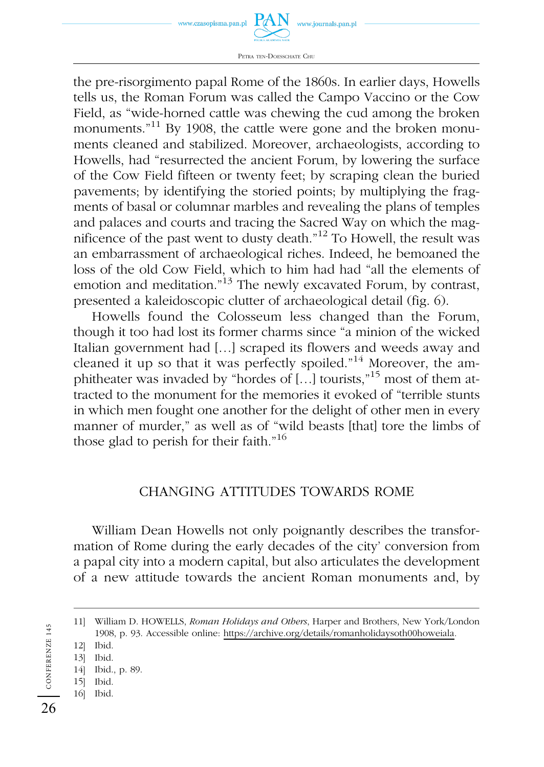

PETRA TEN-DOESSCHATE CHU

the pre-risorgimento papal Rome of the 1860s. In earlier days, Howells tells us, the Roman Forum was called the Campo Vaccino or the Cow Field, as "wide-horned cattle was chewing the cud among the broken monuments.<sup>"11</sup> By 1908, the cattle were gone and the broken monuments cleaned and stabilized. Moreover, archaeologists, according to Howells, had "resurrected the ancient Forum, by lowering the surface of the Cow Field fifteen or twenty feet; by scraping clean the buried pavements; by identifying the storied points; by multiplying the fragments of basal or columnar marbles and revealing the plans of temples and palaces and courts and tracing the Sacred Way on which the magnificence of the past went to dusty death."12 To Howell, the result was an embarrassment of archaeological riches. Indeed, he bemoaned the loss of the old Cow Field, which to him had had "all the elements of emotion and meditation."<sup>13</sup> The newly excavated Forum, by contrast, presented a kaleidoscopic clutter of archaeological detail (fig. 6).

Howells found the Colosseum less changed than the Forum, though it too had lost its former charms since "a minion of the wicked Italian government had […] scraped its flowers and weeds away and cleaned it up so that it was perfectly spoiled."<sup>14</sup> Moreover, the amphitheater was invaded by "hordes of […] tourists,"15 most of them attracted to the monument for the memories it evoked of "terrible stunts in which men fought one another for the delight of other men in every manner of murder," as well as of "wild beasts [that] tore the limbs of those glad to perish for their faith. $16$ 

#### CHANGING ATTITUDES TOWARDS ROME

William Dean Howells not only poignantly describes the transformation of Rome during the early decades of the city' conversion from a papal city into a modern capital, but also articulates the development of a new attitude towards the ancient Roman monuments and, by

- 14] Ibid., p. 89.
- 15] Ibid. 16] Ibid.

CONFERENZE 145

CONFERENZE 145

<sup>11]</sup> William D. HOWELLS, *Roman Holidays and Others*, Harper and Brothers, New York/London 1908, p. 93. Accessible online: https://archive.org/details/romanholidaysoth00howeiala.

<sup>12]</sup> Ibid.

<sup>13]</sup> Ibid.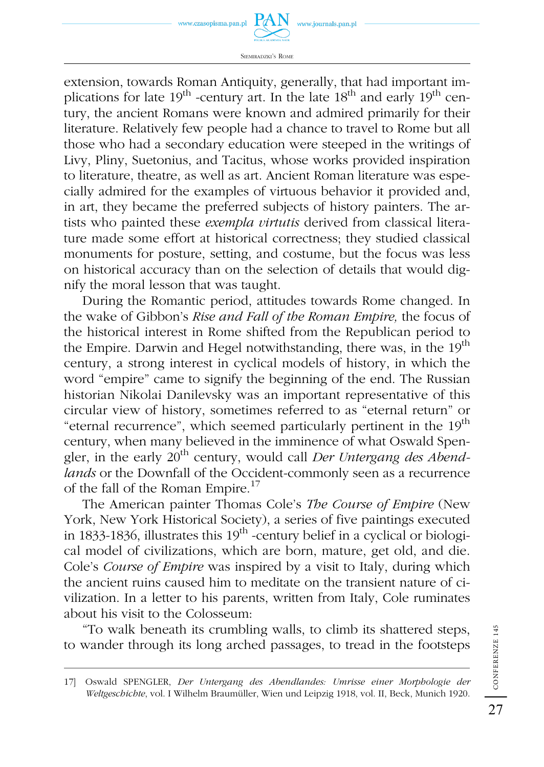

SIEMIRADZKI'S ROME

extension, towards Roman Antiquity, generally, that had important implications for late  $19<sup>th</sup>$  -century art. In the late  $18<sup>th</sup>$  and early  $19<sup>th</sup>$  century, the ancient Romans were known and admired primarily for their literature. Relatively few people had a chance to travel to Rome but all those who had a secondary education were steeped in the writings of Livy, Pliny, Suetonius, and Tacitus, whose works provided inspiration to literature, theatre, as well as art. Ancient Roman literature was especially admired for the examples of virtuous behavior it provided and, in art, they became the preferred subjects of history painters. The artists who painted these *exempla virtutis* derived from classical literature made some effort at historical correctness; they studied classical monuments for posture, setting, and costume, but the focus was less on historical accuracy than on the selection of details that would dignify the moral lesson that was taught.

During the Romantic period, attitudes towards Rome changed. In the wake of Gibbon's *Rise and Fall of the Roman Empire,* the focus of the historical interest in Rome shifted from the Republican period to the Empire. Darwin and Hegel notwithstanding, there was, in the  $19<sup>th</sup>$ century, a strong interest in cyclical models of history, in which the word "empire" came to signify the beginning of the end. The Russian historian Nikolai Danilevsky was an important representative of this circular view of history, sometimes referred to as "eternal return" or "eternal recurrence", which seemed particularly pertinent in the 19<sup>th</sup> century, when many believed in the imminence of what Oswald Spengler, in the early 20th century, would call *Der Untergang des Abendlands* or the Downfall of the Occident-commonly seen as a recurrence of the fall of the Roman Empire.17

The American painter Thomas Cole's *The Course of Empire* (New York, New York Historical Society), a series of five paintings executed in 1833-1836, illustrates this  $19<sup>th</sup>$ -century belief in a cyclical or biological model of civilizations, which are born, mature, get old, and die. Cole's *Course of Empire* was inspired by a visit to Italy, during which the ancient ruins caused him to meditate on the transient nature of civilization. In a letter to his parents, written from Italy, Cole ruminates about his visit to the Colosseum:

"To walk beneath its crumbling walls, to climb its shattered steps, to wander through its long arched passages, to tread in the footsteps

<sup>17]</sup> Oswald SPENGLER, *Der Untergang des Abendlandes: Umrisse einer Morphologie der Weltgeschichte*, vol. I Wilhelm Braumüller, Wien und Leipzig 1918, vol. II, Beck, Munich 1920.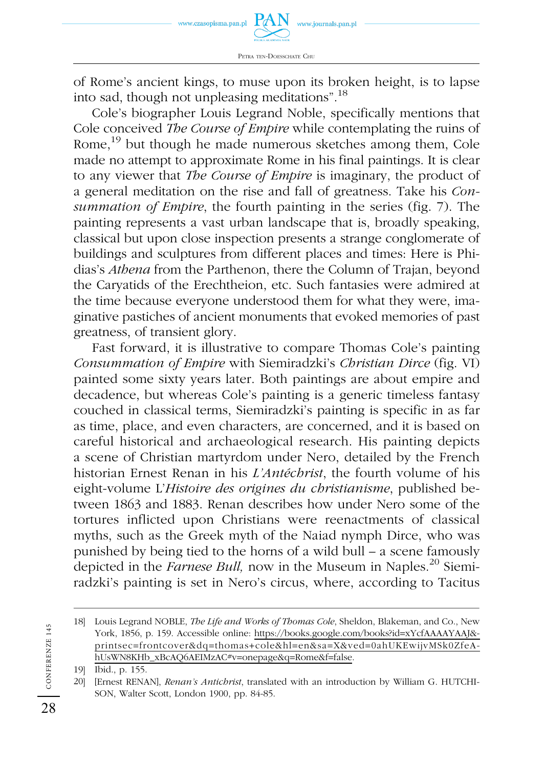of Rome's ancient kings, to muse upon its broken height, is to lapse into sad, though not unpleasing meditations".<sup>18</sup>

Cole's biographer Louis Legrand Noble, specifically mentions that Cole conceived *The Course of Empire* while contemplating the ruins of Rome,<sup>19</sup> but though he made numerous sketches among them, Cole made no attempt to approximate Rome in his final paintings. It is clear to any viewer that *The Course of Empire* is imaginary, the product of a general meditation on the rise and fall of greatness. Take his *Consummation of Empire*, the fourth painting in the series (fig. 7). The painting represents a vast urban landscape that is, broadly speaking, classical but upon close inspection presents a strange conglomerate of buildings and sculptures from different places and times: Here is Phidias's *Athena* from the Parthenon, there the Column of Trajan, beyond the Caryatids of the Erechtheion, etc. Such fantasies were admired at the time because everyone understood them for what they were, imaginative pastiches of ancient monuments that evoked memories of past greatness, of transient glory.

Fast forward, it is illustrative to compare Thomas Cole's painting *Consummation of Empire* with Siemiradzki's *Christian Dirce* (fig. VI) painted some sixty years later. Both paintings are about empire and decadence, but whereas Cole's painting is a generic timeless fantasy couched in classical terms, Siemiradzki's painting is specific in as far as time, place, and even characters, are concerned, and it is based on careful historical and archaeological research. His painting depicts a scene of Christian martyrdom under Nero, detailed by the French historian Ernest Renan in his *L'Antéchrist*, the fourth volume of his eight-volume L'*Histoire des origines du christianisme*, published between 1863 and 1883. Renan describes how under Nero some of the tortures inflicted upon Christians were reenactments of classical myths, such as the Greek myth of the Naiad nymph Dirce, who was punished by being tied to the horns of a wild bull – a scene famously depicted in the *Farnese Bull*, now in the Museum in Naples.<sup>20</sup> Siemiradzki's painting is set in Nero's circus, where, according to Tacitus

<sup>18]</sup> Louis Legrand NOBLE, *The Life and Works of Thomas Cole*, Sheldon, Blakeman, and Co., New York, 1856, p. 159. Accessible online: https://books.google.com/books?id=xYcfAAAAYAAJ& printsec=frontcover&dq=thomas+cole&hl=en&sa=X&ved=0ahUKEwijvMSk0ZfeAhUsWN8KHb\_xBcAQ6AEIMzAC#v=onepage&q=Rome&f=false.

<sup>19]</sup> Ibid., p. 155.

<sup>20] [</sup>Ernest RENAN], *Renan's Antichrist*, translated with an introduction by William G. HUTCHI-SON, Walter Scott, London 1900, pp. 84-85.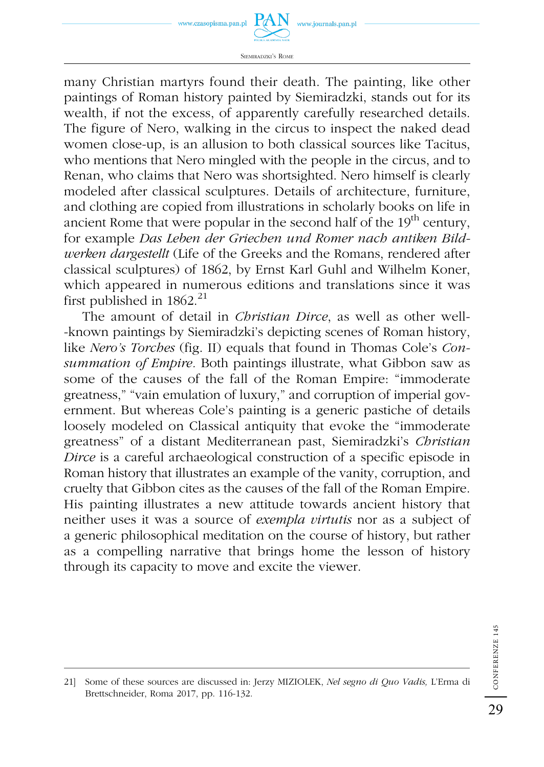





many Christian martyrs found their death. The painting, like other paintings of Roman history painted by Siemiradzki, stands out for its wealth, if not the excess, of apparently carefully researched details. The figure of Nero, walking in the circus to inspect the naked dead women close-up, is an allusion to both classical sources like Tacitus, who mentions that Nero mingled with the people in the circus, and to Renan, who claims that Nero was shortsighted. Nero himself is clearly modeled after classical sculptures. Details of architecture, furniture, and clothing are copied from illustrations in scholarly books on life in ancient Rome that were popular in the second half of the  $19<sup>th</sup>$  century, for example *Das Leben der Griechen und Romer nach antiken Bildwerken dargestellt* (Life of the Greeks and the Romans, rendered after classical sculptures) of 1862, by Ernst Karl Guhl and Wilhelm Koner, which appeared in numerous editions and translations since it was first published in  $1862.^{21}$ 

The amount of detail in *Christian Dirce*, as well as other well- -known paintings by Siemiradzki's depicting scenes of Roman history, like *Nero's Torches* (fig. II) equals that found in Thomas Cole's *Consummation of Empire.* Both paintings illustrate, what Gibbon saw as some of the causes of the fall of the Roman Empire: "immoderate greatness," "vain emulation of luxury," and corruption of imperial government. But whereas Cole's painting is a generic pastiche of details loosely modeled on Classical antiquity that evoke the "immoderate greatness" of a distant Mediterranean past, Siemiradzki's *Christian Dirce* is a careful archaeological construction of a specific episode in Roman history that illustrates an example of the vanity, corruption, and cruelty that Gibbon cites as the causes of the fall of the Roman Empire. His painting illustrates a new attitude towards ancient history that neither uses it was a source of *exempla virtutis* nor as a subject of a generic philosophical meditation on the course of history, but rather as a compelling narrative that brings home the lesson of history through its capacity to move and excite the viewer.

<sup>21]</sup> Some of these sources are discussed in: Jerzy MIZIOLEK, *Nel segno di Quo Vadis,* L'Erma di Brettschneider, Roma 2017, pp. 116-132.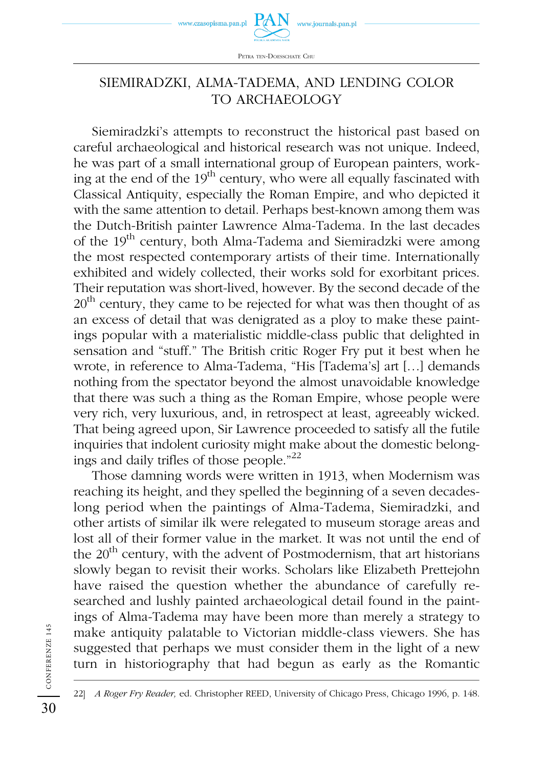

## SIEMIRADZKI, ALMA-TADEMA, AND LENDING COLOR TO ARCHAEOLOGY

Siemiradzki's attempts to reconstruct the historical past based on careful archaeological and historical research was not unique. Indeed, he was part of a small international group of European painters, working at the end of the  $19<sup>th</sup>$  century, who were all equally fascinated with Classical Antiquity, especially the Roman Empire, and who depicted it with the same attention to detail. Perhaps best-known among them was the Dutch-British painter Lawrence Alma-Tadema. In the last decades of the 19<sup>th</sup> century, both Alma-Tadema and Siemiradzki were among the most respected contemporary artists of their time. Internationally exhibited and widely collected, their works sold for exorbitant prices. Their reputation was short-lived, however. By the second decade of the  $20<sup>th</sup>$  century, they came to be rejected for what was then thought of as an excess of detail that was denigrated as a ploy to make these paintings popular with a materialistic middle-class public that delighted in sensation and "stuff." The British critic Roger Fry put it best when he wrote, in reference to Alma-Tadema, "His [Tadema's] art […] demands nothing from the spectator beyond the almost unavoidable knowledge that there was such a thing as the Roman Empire, whose people were very rich, very luxurious, and, in retrospect at least, agreeably wicked. That being agreed upon, Sir Lawrence proceeded to satisfy all the futile inquiries that indolent curiosity might make about the domestic belongings and daily trifles of those people."22

Those damning words were written in 1913, when Modernism was reaching its height, and they spelled the beginning of a seven decadeslong period when the paintings of Alma-Tadema, Siemiradzki, and other artists of similar ilk were relegated to museum storage areas and lost all of their former value in the market. It was not until the end of the  $20<sup>th</sup>$  century, with the advent of Postmodernism, that art historians slowly began to revisit their works. Scholars like Elizabeth Prettejohn have raised the question whether the abundance of carefully researched and lushly painted archaeological detail found in the paintings of Alma-Tadema may have been more than merely a strategy to make antiquity palatable to Victorian middle-class viewers. She has suggested that perhaps we must consider them in the light of a new turn in historiography that had begun as early as the Romantic

CONFERENZE 145

<sup>22]</sup> *A Roger Fry Reader,* ed. Christopher REED, University of Chicago Press, Chicago 1996, p. 148.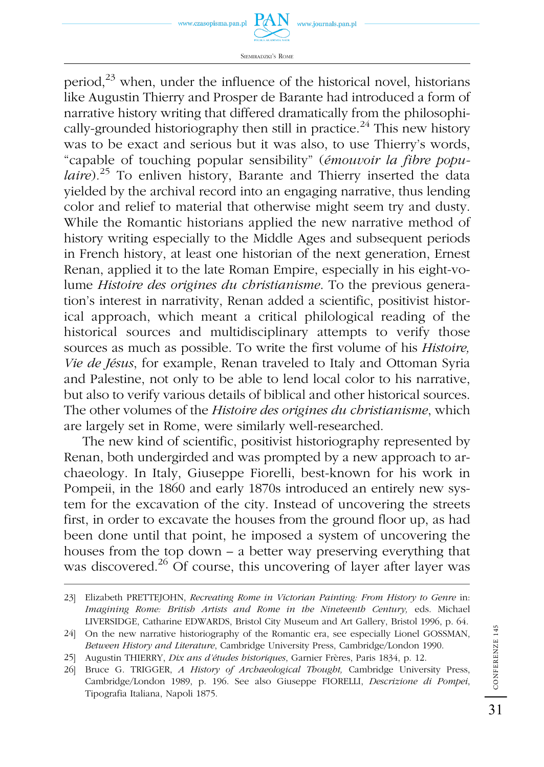

SIEMIRADZKI'S ROME

period, $^{23}$  when, under the influence of the historical novel, historians like Augustin Thierry and Prosper de Barante had introduced a form of narrative history writing that differed dramatically from the philosophically-grounded historiography then still in practice.<sup>24</sup> This new history was to be exact and serious but it was also, to use Thierry's words, "capable of touching popular sensibility" (*émouvoir la fibre populaire*)*.* 25 To enliven history, Barante and Thierry inserted the data yielded by the archival record into an engaging narrative, thus lending color and relief to material that otherwise might seem try and dusty. While the Romantic historians applied the new narrative method of history writing especially to the Middle Ages and subsequent periods in French history, at least one historian of the next generation, Ernest Renan, applied it to the late Roman Empire, especially in his eight-volume *Histoire des origines du christianisme*. To the previous generation's interest in narrativity, Renan added a scientific, positivist historical approach, which meant a critical philological reading of the historical sources and multidisciplinary attempts to verify those sources as much as possible. To write the first volume of his *Histoire, Vie de Jésus*, for example, Renan traveled to Italy and Ottoman Syria and Palestine, not only to be able to lend local color to his narrative, but also to verify various details of biblical and other historical sources. The other volumes of the *Histoire des origines du christianisme*, which are largely set in Rome, were similarly well-researched.

The new kind of scientific, positivist historiography represented by Renan, both undergirded and was prompted by a new approach to archaeology. In Italy, Giuseppe Fiorelli, best-known for his work in Pompeii, in the 1860 and early 1870s introduced an entirely new system for the excavation of the city. Instead of uncovering the streets first, in order to excavate the houses from the ground floor up, as had been done until that point, he imposed a system of uncovering the houses from the top down – a better way preserving everything that was discovered.<sup>26</sup> Of course, this uncovering of layer after layer was

<sup>23]</sup> Elizabeth PRETTEJOHN, *Recreating Rome in Victorian Painting: From History to Genre* in: *Imagining Rome: British Artists and Rome in the Nineteenth Century,* eds. Michael LIVERSIDGE, Catharine EDWARDS, Bristol City Museum and Art Gallery, Bristol 1996, p. 64.

<sup>24]</sup> On the new narrative historiography of the Romantic era, see especially Lionel GOSSMAN, *Between History and Literature*, Cambridge University Press, Cambridge/London 1990.

<sup>25]</sup> Augustin THIERRY, *Dix ans d'études historiques*, Garnier Frères, Paris 1834, p. 12.

<sup>26]</sup> Bruce G. TRIGGER, *A History of Archaeological Thought,* Cambridge University Press, Cambridge/London 1989, p. 196. See also Giuseppe FIORELLI, *Descrizione di Pompei*, Tipografia Italiana, Napoli 1875.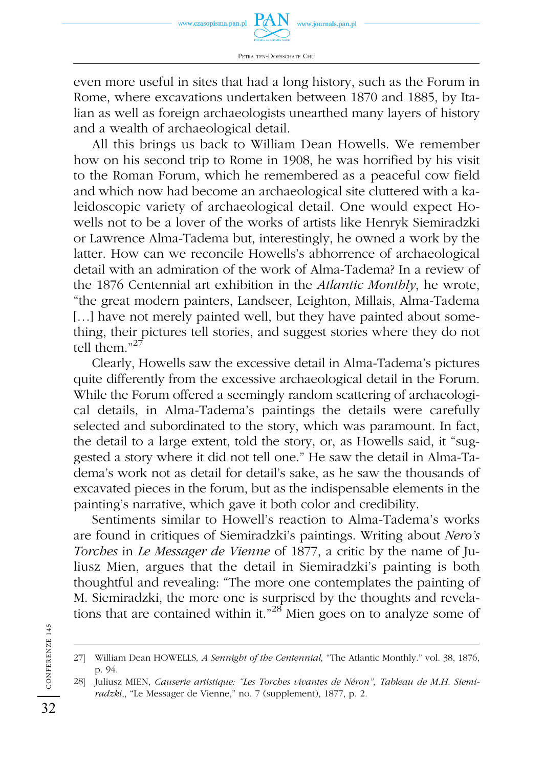

even more useful in sites that had a long history, such as the Forum in Rome, where excavations undertaken between 1870 and 1885, by Italian as well as foreign archaeologists unearthed many layers of history and a wealth of archaeological detail.

All this brings us back to William Dean Howells. We remember how on his second trip to Rome in 1908, he was horrified by his visit to the Roman Forum, which he remembered as a peaceful cow field and which now had become an archaeological site cluttered with a kaleidoscopic variety of archaeological detail. One would expect Howells not to be a lover of the works of artists like Henryk Siemiradzki or Lawrence Alma-Tadema but, interestingly, he owned a work by the latter. How can we reconcile Howells's abhorrence of archaeological detail with an admiration of the work of Alma-Tadema? In a review of the 1876 Centennial art exhibition in the *Atlantic Monthly*, he wrote, "the great modern painters, Landseer, Leighton, Millais, Alma-Tadema [...] have not merely painted well, but they have painted about something, their pictures tell stories, and suggest stories where they do not tell them."27

Clearly, Howells saw the excessive detail in Alma-Tadema's pictures quite differently from the excessive archaeological detail in the Forum. While the Forum offered a seemingly random scattering of archaeological details, in Alma-Tadema's paintings the details were carefully selected and subordinated to the story, which was paramount. In fact, the detail to a large extent, told the story, or, as Howells said, it "suggested a story where it did not tell one." He saw the detail in Alma-Tadema's work not as detail for detail's sake, as he saw the thousands of excavated pieces in the forum, but as the indispensable elements in the painting's narrative, which gave it both color and credibility.

Sentiments similar to Howell's reaction to Alma-Tadema's works are found in critiques of Siemiradzki's paintings. Writing about *Nero's Torches* in *Le Messager de Vienne* of 1877, a critic by the name of Juliusz Mien, argues that the detail in Siemiradzki's painting is both thoughtful and revealing: "The more one contemplates the painting of M. Siemiradzki, the more one is surprised by the thoughts and revelations that are contained within it."<sup>28</sup> Mien goes on to analyze some of

<sup>27]</sup> William Dean HOWELLS*, A Sennight of the Centennial,* "The Atlantic Monthly." vol. 38, 1876, p. 94.

<sup>28]</sup> Juliusz MIEN, *Causerie artistique: "Les Torches vivantes de Néron", Tableau de M.H. Siemiradzki*,, "Le Messager de Vienne," no. 7 (supplement), 1877, p. 2.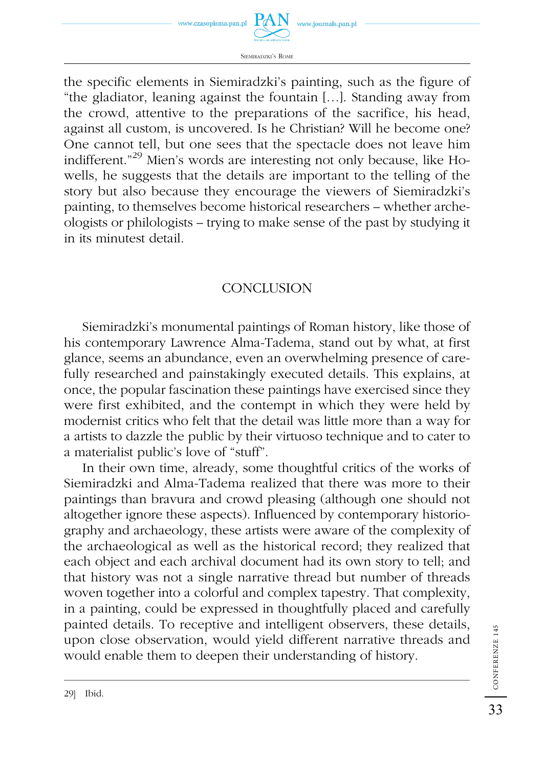

SIEMIRADZKI'S ROME

the specific elements in Siemiradzki's painting, such as the figure of "the gladiator, leaning against the fountain […]. Standing away from the crowd, attentive to the preparations of the sacrifice, his head, against all custom, is uncovered. Is he Christian? Will he become one? One cannot tell, but one sees that the spectacle does not leave him indifferent."29 Mien's words are interesting not only because, like Howells, he suggests that the details are important to the telling of the story but also because they encourage the viewers of Siemiradzki's painting, to themselves become historical researchers – whether archeologists or philologists – trying to make sense of the past by studying it in its minutest detail.

### **CONCLUSION**

Siemiradzki's monumental paintings of Roman history, like those of his contemporary Lawrence Alma-Tadema, stand out by what, at first glance, seems an abundance, even an overwhelming presence of carefully researched and painstakingly executed details. This explains, at once, the popular fascination these paintings have exercised since they were first exhibited, and the contempt in which they were held by modernist critics who felt that the detail was little more than a way for a artists to dazzle the public by their virtuoso technique and to cater to a materialist public's love of "stuff".

In their own time, already, some thoughtful critics of the works of Siemiradzki and Alma-Tadema realized that there was more to their paintings than bravura and crowd pleasing (although one should not altogether ignore these aspects). Influenced by contemporary historiography and archaeology, these artists were aware of the complexity of the archaeological as well as the historical record; they realized that each object and each archival document had its own story to tell; and that history was not a single narrative thread but number of threads woven together into a colorful and complex tapestry. That complexity, in a painting, could be expressed in thoughtfully placed and carefully painted details. To receptive and intelligent observers, these details, upon close observation, would yield different narrative threads and would enable them to deepen their understanding of history.